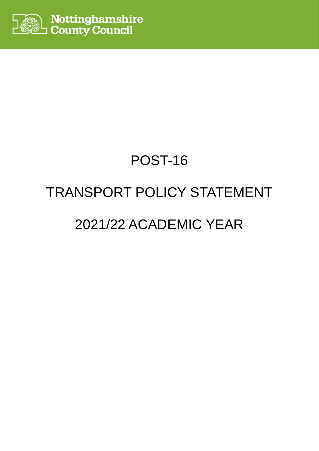

# POST-16 TRANSPORT POLICY STATEMENT 2021/22 ACADEMIC YEAR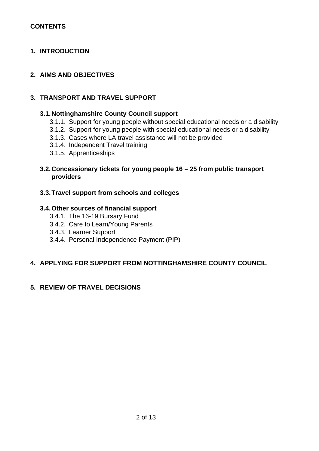## **CONTENTS**

## **1. INTRODUCTION**

## **2. AIMS AND OBJECTIVES**

## **3. TRANSPORT AND TRAVEL SUPPORT**

## **3.1.Nottinghamshire County Council support**

- 3.1.1. Support for young people without special educational needs or a disability
- 3.1.2. Support for young people with special educational needs or a disability
- 3.1.3. Cases where LA travel assistance will not be provided
- 3.1.4. Independent Travel training
- 3.1.5. Apprenticeships

## **3.2.Concessionary tickets for young people 16 – 25 from public transport providers**

## **3.3.Travel support from schools and colleges**

## **3.4.Other sources of financial support**

- 3.4.1. The 16-19 Bursary Fund
- 3.4.2. Care to Learn/Young Parents
- 3.4.3. Learner Support
- 3.4.4. Personal Independence Payment (PIP)

## **4. APPLYING FOR SUPPORT FROM NOTTINGHAMSHIRE COUNTY COUNCIL**

## **5. REVIEW OF TRAVEL DECISIONS**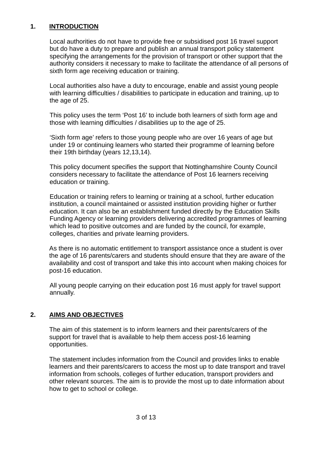## **1. INTRODUCTION**

Local authorities do not have to provide free or subsidised post 16 travel support but do have a duty to prepare and publish an annual transport policy statement specifying the arrangements for the provision of transport or other support that the authority considers it necessary to make to facilitate the attendance of all persons of sixth form age receiving education or training.

Local authorities also have a duty to encourage, enable and assist young people with learning difficulties / disabilities to participate in education and training, up to the age of 25.

This policy uses the term 'Post 16' to include both learners of sixth form age and those with learning difficulties / disabilities up to the age of 25.

'Sixth form age' refers to those young people who are over 16 years of age but under 19 or continuing learners who started their programme of learning before their 19th birthday (years 12,13,14).

This policy document specifies the support that Nottinghamshire County Council considers necessary to facilitate the attendance of Post 16 learners receiving education or training.

Education or training refers to learning or training at a school, further education institution, a council maintained or assisted institution providing higher or further education. It can also be an establishment funded directly by the Education Skills Funding Agency or learning providers delivering accredited programmes of learning which lead to positive outcomes and are funded by the council, for example, colleges, charities and private learning providers.

As there is no automatic entitlement to transport assistance once a student is over the age of 16 parents/carers and students should ensure that they are aware of the availability and cost of transport and take this into account when making choices for post-16 education.

All young people carrying on their education post 16 must apply for travel support annually.

## **2. AIMS AND OBJECTIVES**

The aim of this statement is to inform learners and their parents/carers of the support for travel that is available to help them access post-16 learning opportunities.

The statement includes information from the Council and provides links to enable learners and their parents/carers to access the most up to date transport and travel information from schools, colleges of further education, transport providers and other relevant sources. The aim is to provide the most up to date information about how to get to school or college.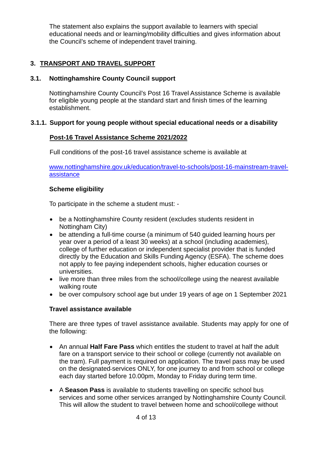The statement also explains the support available to learners with special educational needs and or learning/mobility difficulties and gives information about the Council's scheme of independent travel training.

# **3. TRANSPORT AND TRAVEL SUPPORT**

# **3.1. Nottinghamshire County Council support**

Nottinghamshire County Council's Post 16 Travel Assistance Scheme is available for eligible young people at the standard start and finish times of the learning establishment.

## **3.1.1. Support for young people without special educational needs or a disability**

## **Post-16 Travel Assistance Scheme 2021/2022**

Full conditions of the post-16 travel assistance scheme is available at

[www.nottinghamshire.gov.uk/education/travel-to-schools/post-16-mainstream-travel](http://www.nottinghamshire.gov.uk/education/travel-to-schools/post-16-mainstream-travel-assistance)[assistance](http://www.nottinghamshire.gov.uk/education/travel-to-schools/post-16-mainstream-travel-assistance)

## **Scheme eligibility**

To participate in the scheme a student must: -

- be a Nottinghamshire County resident (excludes students resident in Nottingham City)
- be attending a full-time course (a minimum of 540 guided learning hours per year over a period of a least 30 weeks) at a school (including academies), college of further education or independent specialist provider that is funded directly by the Education and Skills Funding Agency (ESFA). The scheme does not apply to fee paying independent schools, higher education courses or universities.
- live more than three miles from the school/college using the nearest available walking route
- be over compulsory school age but under 19 years of age on 1 September 2021

## **Travel assistance available**

There are three types of travel assistance available. Students may apply for one of the following:

- An annual **Half Fare Pass** which entitles the student to travel at half the adult fare on a transport service to their school or college (currently not available on the tram). Full payment is required on application. The travel pass may be used on the designated services ONLY, for one journey to and from school or college each day started before 10.00pm, Monday to Friday during term time.
- A **Season Pass** is available to students travelling on specific school bus services and some other services arranged by Nottinghamshire County Council. This will allow the student to travel between home and school/college without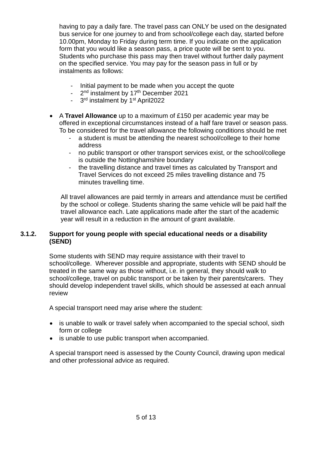having to pay a daily fare. The travel pass can ONLY be used on the designated bus service for one journey to and from school/college each day, started before 10.00pm, Monday to Friday during term time. If you indicate on the application form that you would like a season pass, a price quote will be sent to you. Students who purchase this pass may then travel without further daily payment on the specified service. You may pay for the season pass in full or by instalments as follows:

- Initial payment to be made when you accept the quote
- 2<sup>nd</sup> instalment by 17<sup>th</sup> December 2021
- 3rd instalment by 1st April2022
- A **Travel Allowance** up to a maximum of £150 per academic year may be offered in exceptional circumstances instead of a half fare travel or season pass. To be considered for the travel allowance the following conditions should be met
	- a student is must be attending the nearest school/college to their home address
	- no public transport or other transport services exist, or the school/college is outside the Nottinghamshire boundary
	- the travelling distance and travel times as calculated by Transport and Travel Services do not exceed 25 miles travelling distance and 75 minutes travelling time.

All travel allowances are paid termly in arrears and attendance must be certified by the school or college. Students sharing the same vehicle will be paid half the travel allowance each. Late applications made after the start of the academic year will result in a reduction in the amount of grant available.

## **3.1.2. Support for young people with special educational needs or a disability (SEND)**

Some students with SEND may require assistance with their travel to school/college. Wherever possible and appropriate, students with SEND should be treated in the same way as those without, i.e. in general, they should walk to school/college, travel on public transport or be taken by their parents/carers. They should develop independent travel skills, which should be assessed at each annual review

A special transport need may arise where the student:

- is unable to walk or travel safely when accompanied to the special school, sixth form or college
- is unable to use public transport when accompanied.

A special transport need is assessed by the County Council, drawing upon medical and other professional advice as required.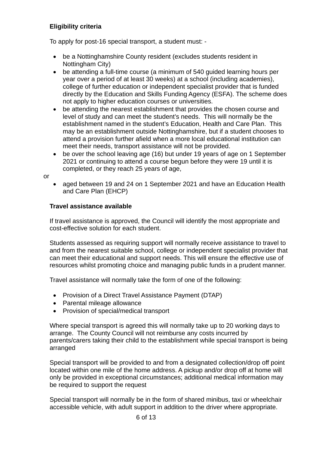# **Eligibility criteria**

To apply for post-16 special transport, a student must: -

- be a Nottinghamshire County resident (excludes students resident in Nottingham City)
- be attending a full-time course (a minimum of 540 guided learning hours per year over a period of at least 30 weeks) at a school (including academies), college of further education or independent specialist provider that is funded directly by the Education and Skills Funding Agency (ESFA). The scheme does not apply to higher education courses or universities.
- be attending the nearest establishment that provides the chosen course and level of study and can meet the student's needs. This will normally be the establishment named in the student's Education, Health and Care Plan. This may be an establishment outside Nottinghamshire, but if a student chooses to attend a provision further afield when a more local educational institution can meet their needs, transport assistance will not be provided.
- be over the school leaving age (16) but under 19 years of age on 1 September 2021 or continuing to attend a course begun before they were 19 until it is completed, or they reach 25 years of age,

or

• aged between 19 and 24 on 1 September 2021 and have an Education Health and Care Plan (EHCP)

# **Travel assistance available**

If travel assistance is approved, the Council will identify the most appropriate and cost-effective solution for each student.

Students assessed as requiring support will normally receive assistance to travel to and from the nearest suitable school, college or independent specialist provider that can meet their educational and support needs. This will ensure the effective use of resources whilst promoting choice and managing public funds in a prudent manner.

Travel assistance will normally take the form of one of the following:

- Provision of a Direct Travel Assistance Payment (DTAP)
- Parental mileage allowance
- Provision of special/medical transport

Where special transport is agreed this will normally take up to 20 working days to arrange. The County Council will not reimburse any costs incurred by parents/carers taking their child to the establishment while special transport is being arranged

Special transport will be provided to and from a designated collection/drop off point located within one mile of the home address. A pickup and/or drop off at home will only be provided in exceptional circumstances; additional medical information may be required to support the request

Special transport will normally be in the form of shared minibus, taxi or wheelchair accessible vehicle, with adult support in addition to the driver where appropriate.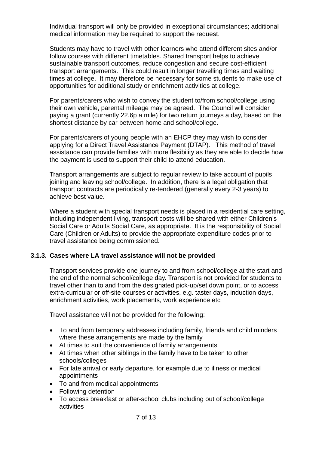Individual transport will only be provided in exceptional circumstances; additional medical information may be required to support the request.

Students may have to travel with other learners who attend different sites and/or follow courses with different timetables. Shared transport helps to achieve sustainable transport outcomes, reduce congestion and secure cost-efficient transport arrangements. This could result in longer travelling times and waiting times at college. It may therefore be necessary for some students to make use of opportunities for additional study or enrichment activities at college.

For parents/carers who wish to convey the student to/from school/college using their own vehicle, parental mileage may be agreed. The Council will consider paying a grant (currently 22.6p a mile) for two return journeys a day, based on the shortest distance by car between home and school/college.

For parents/carers of young people with an EHCP they may wish to consider applying for a Direct Travel Assistance Payment (DTAP). This method of travel assistance can provide families with more flexibility as they are able to decide how the payment is used to support their child to attend education.

Transport arrangements are subject to regular review to take account of pupils joining and leaving school/college. In addition, there is a legal obligation that transport contracts are periodically re-tendered (generally every 2-3 years) to achieve best value.

Where a student with special transport needs is placed in a residential care setting, including independent living, transport costs will be shared with either Children's Social Care or Adults Social Care, as appropriate. It is the responsibility of Social Care (Children or Adults) to provide the appropriate expenditure codes prior to travel assistance being commissioned.

## **3.1.3. Cases where LA travel assistance will not be provided**

Transport services provide one journey to and from school/college at the start and the end of the normal school/college day. Transport is not provided for students to travel other than to and from the designated pick-up/set down point, or to access extra-curricular or off-site courses or activities, e.g. taster days, induction days, enrichment activities, work placements, work experience etc

Travel assistance will not be provided for the following:

- To and from temporary addresses including family, friends and child minders where these arrangements are made by the family
- At times to suit the convenience of family arrangements
- At times when other siblings in the family have to be taken to other schools/colleges
- For late arrival or early departure, for example due to illness or medical appointments
- To and from medical appointments
- Following detention
- To access breakfast or after-school clubs including out of school/college activities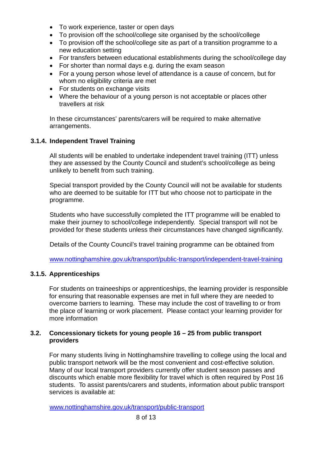- To work experience, taster or open days
- To provision off the school/college site organised by the school/college
- To provision off the school/college site as part of a transition programme to a new education setting
- For transfers between educational establishments during the school/college day
- For shorter than normal days e.g. during the exam season
- For a young person whose level of attendance is a cause of concern, but for whom no eligibility criteria are met
- For students on exchange visits
- Where the behaviour of a young person is not acceptable or places other travellers at risk

In these circumstances' parents/carers will be required to make alternative arrangements.

## **3.1.4. Independent Travel Training**

All students will be enabled to undertake independent travel training (ITT) unless they are assessed by the County Council and student's school/college as being unlikely to benefit from such training.

Special transport provided by the County Council will not be available for students who are deemed to be suitable for ITT but who choose not to participate in the programme.

Students who have successfully completed the ITT programme will be enabled to make their journey to school/college independently. Special transport will not be provided for these students unless their circumstances have changed significantly.

Details of the County Council's travel training programme can be obtained from

[www.nottinghamshire.gov.uk/transport/public-transport/independent-travel-training](http://www.nottinghamshire.gov.uk/transport/public-transport/independent-travel-training)

#### **3.1.5. Apprenticeships**

For students on traineeships or apprenticeships, the learning provider is responsible for ensuring that reasonable expenses are met in full where they are needed to overcome barriers to learning. These may include the cost of travelling to or from the place of learning or work placement. Please contact your learning provider for more information

#### **3.2. Concessionary tickets for young people 16 – 25 from public transport providers**

For many students living in Nottinghamshire travelling to college using the local and public transport network will be the most convenient and cost-effective solution. Many of our local transport providers currently offer student season passes and discounts which enable more flexibility for travel which is often required by Post 16 students. To assist parents/carers and students, information about public transport services is available at:

[www.nottinghamshire.gov.uk/transport/public-transport](http://www.nottinghamshire.gov.uk/transport/public-transport)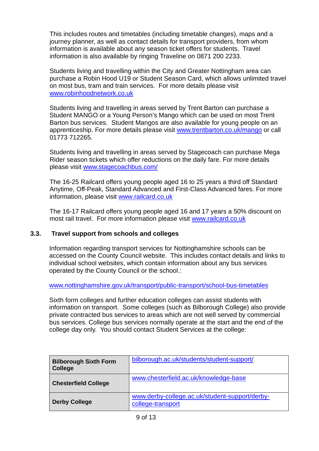This includes routes and timetables (including timetable changes), maps and a journey planner, as well as contact details for transport providers, from whom information is available about any season ticket offers for students. Travel information is also available by ringing Traveline on 0871 200 2233.

Students living and travelling within the City and Greater Nottingham area can purchase a Robin Hood U19 or Student Season Card, which allows unlimited travel on most bus, tram and train services. For more details please visit [www.robinhoodnetwork.co.uk](http://www.robinhoodnetwork.co.uk/)

Students living and travelling in areas served by Trent Barton can purchase a Student MANGO or a Young Person's Mango which can be used on most Trent Barton bus services. Student Mangos are also available for young people on an apprenticeship. For more details please visit [www.trentbarton.co.uk/mango](http://www.trentbarton.co.uk/mango) or call 01773 712265.

Students living and travelling in areas served by Stagecoach can purchase Mega Rider season tickets which offer reductions on the daily fare. For more details please visit [www.stagecoachbus.com/](http://www.stagecoachbus.com/promos-and-offers/east-midlands)

The 16-25 Railcard offers young people aged 16 to 25 years a third off Standard Anytime, Off-Peak, Standard Advanced and First-Class Advanced fares. For more information, please visit [www.railcard.co.uk](http://www.railcard.co.uk/)

The 16-17 Railcard offers young people aged 16 and 17 years a 50% discount on most rail travel. For more information please visit [www.railcard.co.uk](http://www.railcard.co.uk/)

## **3.3. Travel support from schools and colleges**

Information regarding transport services for Nottinghamshire schools can be accessed on the County Council website. This includes contact details and links to individual school websites, which contain information about any bus services operated by the County Council or the school.:

[www.nottinghamshire.gov.uk/transport/public-transport/school-bus-timetables](http://www.nottinghamshire.gov.uk/transport/public-transport/school-bus-timetables)

Sixth form colleges and further education colleges can assist students with information on transport. Some colleges (such as Bilborough College) also provide private contracted bus services to areas which are not well served by commercial bus services. College bus services normally operate at the start and the end of the college day only. You should contact Student Services at the college:

| <b>Bilborough Sixth Form</b><br><b>College</b> | bilborough.ac.uk/students/student-support/                          |
|------------------------------------------------|---------------------------------------------------------------------|
| <b>Chesterfield College</b>                    | www.chesterfield.ac.uk/knowledge-base                               |
| <b>Derby College</b>                           | www.derby-college.ac.uk/student-support/derby-<br>college-transport |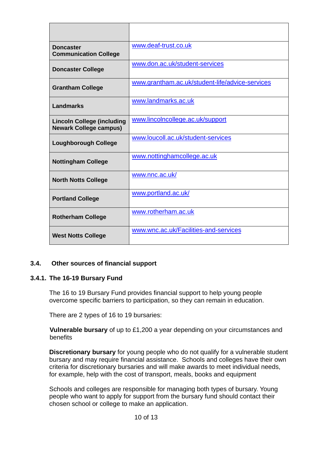| <b>Doncaster</b><br><b>Communication College</b>                   | www.deaf-trust.co.uk                            |
|--------------------------------------------------------------------|-------------------------------------------------|
| <b>Doncaster College</b>                                           | www.don.ac.uk/student-services                  |
| <b>Grantham College</b>                                            | www.grantham.ac.uk/student-life/advice-services |
| <b>Landmarks</b>                                                   | www.landmarks.ac.uk                             |
| <b>Lincoln College (including</b><br><b>Newark College campus)</b> | www.lincolncollege.ac.uk/support                |
| <b>Loughborough College</b>                                        | www.loucoll.ac.uk/student-services              |
| <b>Nottingham College</b>                                          | www.nottinghamcollege.ac.uk                     |
| <b>North Notts College</b>                                         | www.nnc.ac.uk/                                  |
| <b>Portland College</b>                                            | www.portland.ac.uk/                             |
| <b>Rotherham College</b>                                           | www.rotherham.ac.uk                             |
| <b>West Notts College</b>                                          | www.wnc.ac.uk/Facilities-and-services           |

## **3.4. Other sources of financial support**

#### **3.4.1. The 16-19 Bursary Fund**

The 16 to 19 Bursary Fund provides financial support to help young people overcome specific barriers to participation, so they can remain in education.

There are 2 types of 16 to 19 bursaries:

**Vulnerable bursary** of up to £1,200 a year depending on your circumstances and benefits

**Discretionary bursary** for young people who do not qualify for a vulnerable student bursary and may require financial assistance. Schools and colleges have their own criteria for discretionary bursaries and will make awards to meet individual needs, for example, help with the cost of transport, meals, books and equipment

Schools and colleges are responsible for managing both types of bursary. Young people who want to apply for support from the bursary fund should contact their chosen school or college to make an application.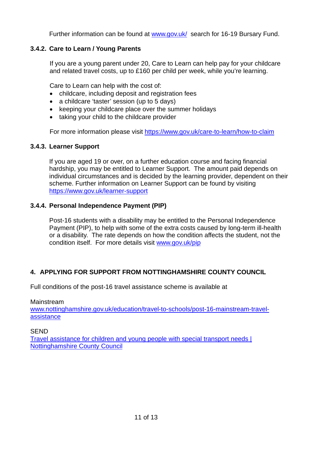Further information can be found at [www.gov.uk/](http://www.gov.uk/) search for 16-19 Bursary Fund.

# **3.4.2. Care to Learn / Young Parents**

If you are a young parent under 20, Care to Learn can help pay for your childcare and related travel costs, up to £160 per child per week, while you're learning.

Care to Learn can help with the cost of:

- childcare, including deposit and registration fees
- a childcare 'taster' session (up to 5 days)
- keeping your childcare place over the summer holidays
- taking your child to the childcare provider

For more information please visit<https://www.gov.uk/care-to-learn/how-to-claim>

## **3.4.3. Learner Support**

If you are aged 19 or over, on a further education course and facing financial hardship, you may be entitled to Learner Support. The amount paid depends on individual circumstances and is decided by the learning provider, dependent on their scheme. Further information on Learner Support can be found by visiting <https://www.gov.uk/learner-support>

## **3.4.4. Personal Independence Payment (PIP)**

Post-16 students with a disability may be entitled to the Personal Independence Payment (PIP), to help with some of the extra costs caused by long-term ill-health or a disability. The rate depends on how the condition affects the student, not the condition itself. For more details visit [www.gov.uk/pip](http://www.gov.uk/pip)

## **4. APPLYING FOR SUPPORT FROM NOTTINGHAMSHIRE COUNTY COUNCIL**

Full conditions of the post-16 travel assistance scheme is available at

#### Mainstream

[www.nottinghamshire.gov.uk/education/travel-to-schools/post-16-mainstream-travel](http://www.nottinghamshire.gov.uk/education/travel-to-schools/post-16-mainstream-travel-assistance)[assistance](http://www.nottinghamshire.gov.uk/education/travel-to-schools/post-16-mainstream-travel-assistance)

#### SEND

[Travel assistance for children and young people with special transport needs |](https://www.nottinghamshire.gov.uk/education/travel-to-schools/special-transport-needs)  [Nottinghamshire County Council](https://www.nottinghamshire.gov.uk/education/travel-to-schools/special-transport-needs)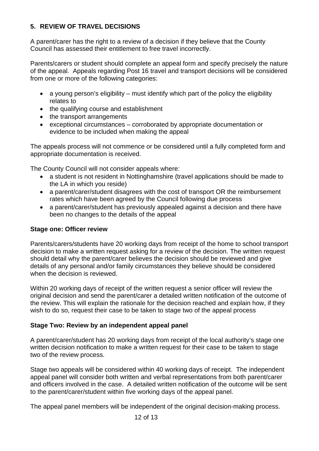# **5. REVIEW OF TRAVEL DECISIONS**

A parent/carer has the right to a review of a decision if they believe that the County Council has assessed their entitlement to free travel incorrectly.

Parents/carers or student should complete an appeal form and specify precisely the nature of the appeal. Appeals regarding Post 16 travel and transport decisions will be considered from one or more of the following categories:

- a young person's eligibility must identify which part of the policy the eligibility relates to
- the qualifying course and establishment
- the transport arrangements
- exceptional circumstances corroborated by appropriate documentation or evidence to be included when making the appeal

The appeals process will not commence or be considered until a fully completed form and appropriate documentation is received.

The County Council will not consider appeals where:

- a student is not resident in Nottinghamshire (travel applications should be made to the LA in which you reside)
- a parent/carer/student disagrees with the cost of transport OR the reimbursement rates which have been agreed by the Council following due process
- a parent/carer/student has previously appealed against a decision and there have been no changes to the details of the appeal

## **Stage one: Officer review**

Parents/carers/students have 20 working days from receipt of the home to school transport decision to make a written request asking for a review of the decision. The written request should detail why the parent/carer believes the decision should be reviewed and give details of any personal and/or family circumstances they believe should be considered when the decision is reviewed.

Within 20 working days of receipt of the written request a senior officer will review the original decision and send the parent/carer a detailed written notification of the outcome of the review. This will explain the rationale for the decision reached and explain how, if they wish to do so, request their case to be taken to stage two of the appeal process

## **Stage Two: Review by an independent appeal panel**

A parent/carer/student has 20 working days from receipt of the local authority's stage one written decision notification to make a written request for their case to be taken to stage two of the review process.

Stage two appeals will be considered within 40 working days of receipt. The independent appeal panel will consider both written and verbal representations from both parent/carer and officers involved in the case. A detailed written notification of the outcome will be sent to the parent/carer/student within five working days of the appeal panel.

The appeal panel members will be independent of the original decision-making process.